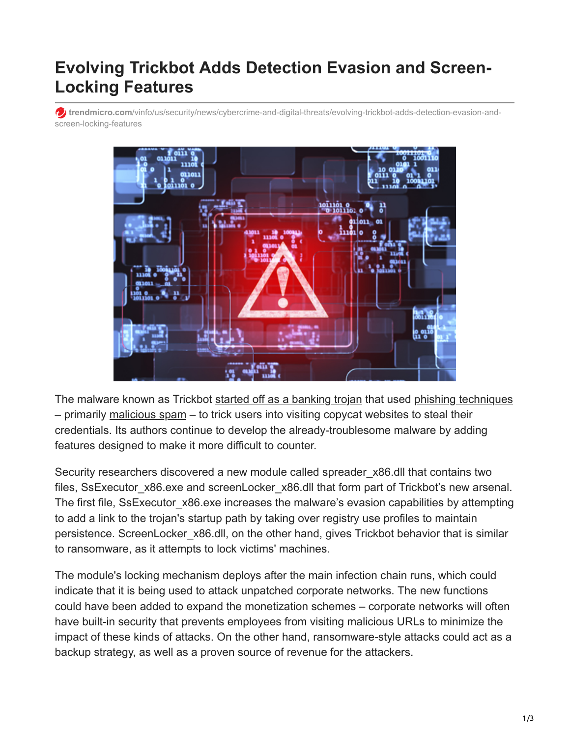## **Evolving Trickbot Adds Detection Evasion and Screen-Locking Features**

**trendmicro.com**[/vinfo/us/security/news/cybercrime-and-digital-threats/evolving-trickbot-adds-detection-evasion-and](https://www.trendmicro.com/vinfo/us/security/news/cybercrime-and-digital-threats/evolving-trickbot-adds-detection-evasion-and-screen-locking-features)screen-locking-features



The malware known as Trickbot [started off as a banking trojan](https://isc.sans.edu/forums/diary/Malspam+pushing+Trickbot+banking+Trojan/22720/) that used [phishing techniques](https://www.trendmicro.com/vinfo/ph/security/news/cybercrime-and-digital-threats/banking-malware-emotet-and-trickbot-go-phishing-again) – primarily [malicious spam](https://blog.trendmicro.com/trendlabs-security-intelligence/look-locky-ransomwares-recent-spam-activities/) – to trick users into visiting copycat websites to steal their credentials. Its authors continue to develop the already-troublesome malware by adding features designed to make it more difficult to counter.

Security researchers discovered a new module called spreader x86.dll that contains two files, SsExecutor x86.exe and screenLocker x86.dll that form part of Trickbot's new arsenal. The first file, SsExecutor x86.exe increases the malware's evasion capabilities by attempting to add a link to the trojan's startup path by taking over registry use profiles to maintain persistence. ScreenLocker\_x86.dll, on the other hand, gives Trickbot behavior that is similar to ransomware, as it attempts to lock victims' machines.

The module's locking mechanism deploys after the main infection chain runs, which could indicate that it is being used to attack unpatched corporate networks. The new functions could have been added to expand the monetization schemes – corporate networks will often have built-in security that prevents employees from visiting malicious URLs to minimize the impact of these kinds of attacks. On the other hand, ransomware-style attacks could act as a backup strategy, as well as a proven source of revenue for the attackers.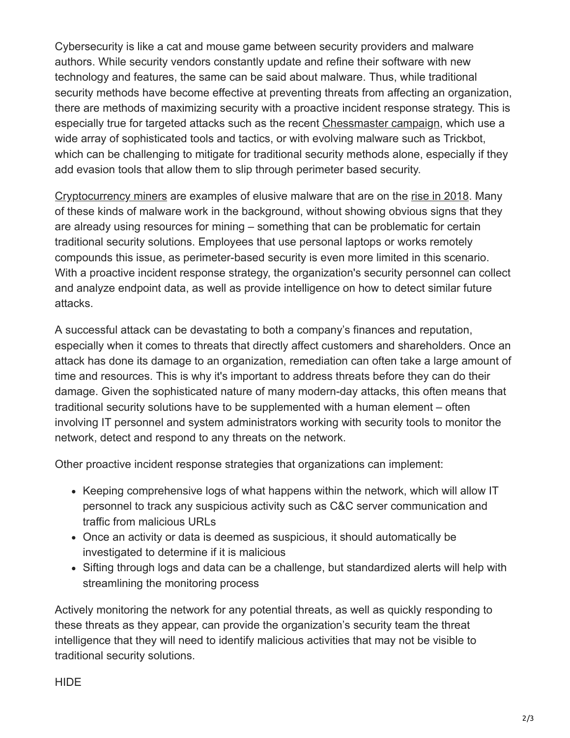Cybersecurity is like a cat and mouse game between security providers and malware authors. While security vendors constantly update and refine their software with new technology and features, the same can be said about malware. Thus, while traditional security methods have become effective at preventing threats from affecting an organization, there are methods of maximizing security with a proactive incident response strategy. This is especially true for targeted attacks such as the recent [Chessmaster campaign](https://blog.trendmicro.com/trendlabs-security-intelligence/chessmasters-new-strategy-evolving-tools-tactics/), which use a wide array of sophisticated tools and tactics, or with evolving malware such as Trickbot, which can be challenging to mitigate for traditional security methods alone, especially if they add evasion tools that allow them to slip through perimeter based security.

[Cryptocurrency miners](https://blog.trendmicro.com/trendlabs-security-intelligence/cryptocurrency-mining-malware-2018-new-menace/) are examples of elusive malware that are on the [rise in 2018.](https://blog.trendmicro.com/trendlabs-security-intelligence/cryptocurrency-miner-distributed-via-php-weathermap-vulnerability-targets-linux-servers/) Many of these kinds of malware work in the background, without showing obvious signs that they are already using resources for mining – something that can be problematic for certain traditional security solutions. Employees that use personal laptops or works remotely compounds this issue, as perimeter-based security is even more limited in this scenario. With a proactive incident response strategy, the organization's security personnel can collect and analyze endpoint data, as well as provide intelligence on how to detect similar future attacks.

A successful attack can be devastating to both a company's finances and reputation, especially when it comes to threats that directly affect customers and shareholders. Once an attack has done its damage to an organization, remediation can often take a large amount of time and resources. This is why it's important to address threats before they can do their damage. Given the sophisticated nature of many modern-day attacks, this often means that traditional security solutions have to be supplemented with a human element – often involving IT personnel and system administrators working with security tools to monitor the network, detect and respond to any threats on the network.

Other proactive incident response strategies that organizations can implement:

- Keeping comprehensive logs of what happens within the network, which will allow IT personnel to track any suspicious activity such as C&C server communication and traffic from malicious URLs
- Once an activity or data is deemed as suspicious, it should automatically be investigated to determine if it is malicious
- Sifting through logs and data can be a challenge, but standardized alerts will help with streamlining the monitoring process

Actively monitoring the network for any potential threats, as well as quickly responding to these threats as they appear, can provide the organization's security team the threat intelligence that they will need to identify malicious activities that may not be visible to traditional security solutions.